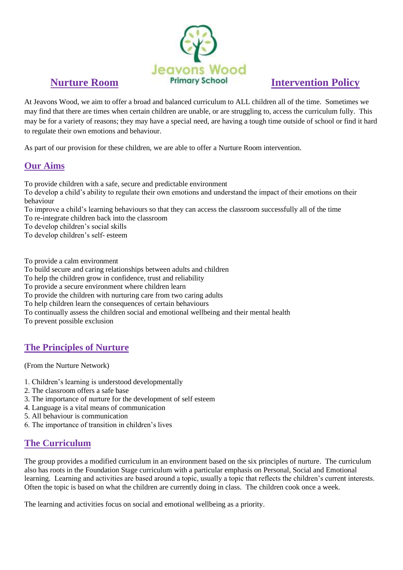

At Jeavons Wood, we aim to offer a broad and balanced curriculum to ALL children all of the time. Sometimes we may find that there are times when certain children are unable, or are struggling to, access the curriculum fully. This may be for a variety of reasons; they may have a special need, are having a tough time outside of school or find it hard to regulate their own emotions and behaviour.

As part of our provision for these children, we are able to offer a Nurture Room intervention.

### **Our Aims**

To provide children with a safe, secure and predictable environment

To develop a child's ability to regulate their own emotions and understand the impact of their emotions on their behaviour

To improve a child's learning behaviours so that they can access the classroom successfully all of the time To re-integrate children back into the classroom

To develop children's social skills

To develop children's self- esteem

To provide a calm environment

To build secure and caring relationships between adults and children

To help the children grow in confidence, trust and reliability

To provide a secure environment where children learn

To provide the children with nurturing care from two caring adults

To help children learn the consequences of certain behaviours

To continually assess the children social and emotional wellbeing and their mental health

To prevent possible exclusion

# **The Principles of Nurture**

(From the Nurture Network)

- 1. Children's learning is understood developmentally
- 2. The classroom offers a safe base
- 3. The importance of nurture for the development of self esteem
- 4. Language is a vital means of communication
- 5. All behaviour is communication
- 6. The importance of transition in children's lives

# **The Curriculum**

The group provides a modified curriculum in an environment based on the six principles of nurture. The curriculum also has roots in the Foundation Stage curriculum with a particular emphasis on Personal, Social and Emotional learning. Learning and activities are based around a topic, usually a topic that reflects the children's current interests. Often the topic is based on what the children are currently doing in class. The children cook once a week.

The learning and activities focus on social and emotional wellbeing as a priority.